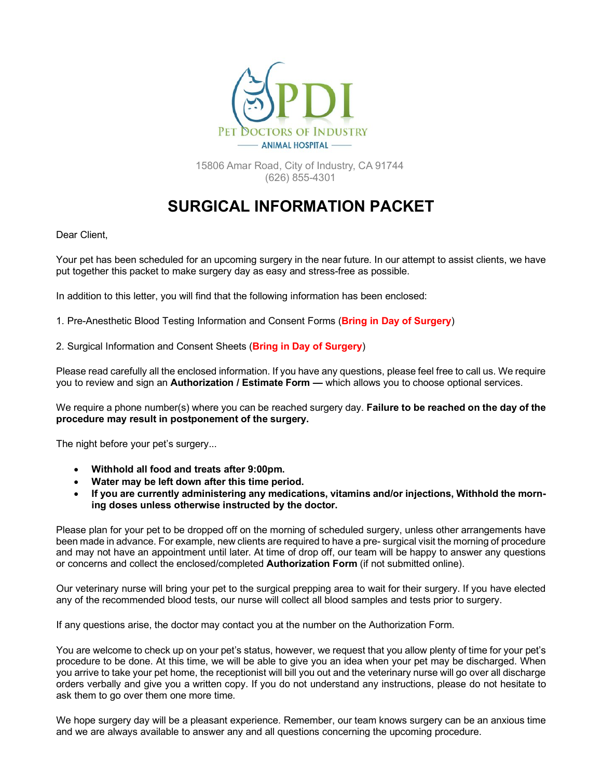

15806 Amar Road, City of Industry, CA 91744 (626) 855-4301

# **SURGICAL INFORMATION PACKET**

Dear Client,

Your pet has been scheduled for an upcoming surgery in the near future. In our attempt to assist clients, we have put together this packet to make surgery day as easy and stress-free as possible.

In addition to this letter, you will find that the following information has been enclosed:

1. Pre-Anesthetic Blood Testing Information and Consent Forms (**Bring in Day of Surgery**)

2. Surgical Information and Consent Sheets (**Bring in Day of Surgery**)

Please read carefully all the enclosed information. If you have any questions, please feel free to call us. We require you to review and sign an **Authorization / Estimate Form —** which allows you to choose optional services.

We require a phone number(s) where you can be reached surgery day. **Failure to be reached on the day of the procedure may result in postponement of the surgery.** 

The night before your pet's surgery...

- **Withhold all food and treats after 9:00pm.**
- **Water may be left down after this time period.**
- **If you are currently administering any medications, vitamins and/or injections, Withhold the morning doses unless otherwise instructed by the doctor.**

Please plan for your pet to be dropped off on the morning of scheduled surgery, unless other arrangements have been made in advance. For example, new clients are required to have a pre- surgical visit the morning of procedure and may not have an appointment until later. At time of drop off, our team will be happy to answer any questions or concerns and collect the enclosed/completed **Authorization Form** (if not submitted online).

Our veterinary nurse will bring your pet to the surgical prepping area to wait for their surgery. If you have elected any of the recommended blood tests, our nurse will collect all blood samples and tests prior to surgery.

If any questions arise, the doctor may contact you at the number on the Authorization Form.

You are welcome to check up on your pet's status, however, we request that you allow plenty of time for your pet's procedure to be done. At this time, we will be able to give you an idea when your pet may be discharged. When you arrive to take your pet home, the receptionist will bill you out and the veterinary nurse will go over all discharge orders verbally and give you a written copy. If you do not understand any instructions, please do not hesitate to ask them to go over them one more time.

We hope surgery day will be a pleasant experience. Remember, our team knows surgery can be an anxious time and we are always available to answer any and all questions concerning the upcoming procedure.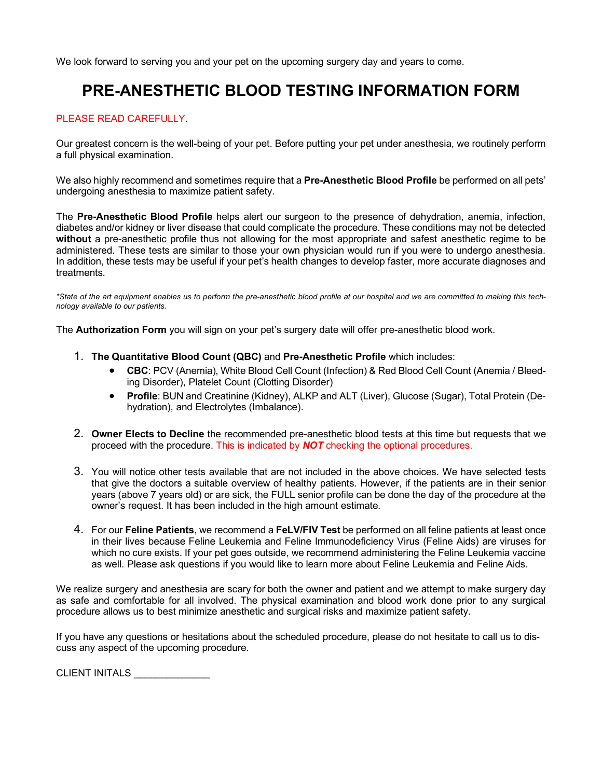We look forward to serving you and your pet on the upcoming surgery day and years to come.

## **PRE-ANESTHETIC BLOOD TESTING INFORMATION FORM**

### PLEASE READ CAREFULLY.

Our greatest concern is the well-being of your pet. Before putting your pet under anesthesia, we routinely perform a full physical examination.

We also highly recommend and sometimes require that a **Pre-Anesthetic Blood Profile** be performed on all pets' undergoing anesthesia to maximize patient safety.

The **Pre-Anesthetic Blood Profile** helps alert our surgeon to the presence of dehydration, anemia, infection, diabetes and/or kidney or liver disease that could complicate the procedure. These conditions may not be detected **without** a pre-anesthetic profile thus not allowing for the most appropriate and safest anesthetic regime to be administered. These tests are similar to those your own physician would run if you were to undergo anesthesia. In addition, these tests may be useful if your pet's health changes to develop faster, more accurate diagnoses and treatments.

*\*State of the art equipment enables us to perform the pre-anesthetic blood profile at our hospital and we are committed to making this technology available to our patients.*

The **Authorization Form** you will sign on your pet's surgery date will offer pre-anesthetic blood work.

- 1. **The Quantitative Blood Count (QBC)** and **Pre-Anesthetic Profile** which includes:
	- **CBC**: PCV (Anemia), White Blood Cell Count (Infection) & Red Blood Cell Count (Anemia / Bleeding Disorder), Platelet Count (Clotting Disorder)
	- **Profile**: BUN and Creatinine (Kidney), ALKP and ALT (Liver), Glucose (Sugar), Total Protein (Dehydration), and Electrolytes (Imbalance).
- 2. **Owner Elects to Decline** the recommended pre-anesthetic blood tests at this time but requests that we proceed with the procedure. This is indicated by *NOT* checking the optional procedures.
- 3. You will notice other tests available that are not included in the above choices. We have selected tests that give the doctors a suitable overview of healthy patients. However, if the patients are in their senior years (above 7 years old) or are sick, the FULL senior profile can be done the day of the procedure at the owner's request. It has been included in the high amount estimate.
- 4. For our **Feline Patients**, we recommend a **FeLV/FIV Test** be performed on all feline patients at least once in their lives because Feline Leukemia and Feline Immunodeficiency Virus (Feline Aids) are viruses for which no cure exists. If your pet goes outside, we recommend administering the Feline Leukemia vaccine as well. Please ask questions if you would like to learn more about Feline Leukemia and Feline Aids.

We realize surgery and anesthesia are scary for both the owner and patient and we attempt to make surgery day as safe and comfortable for all involved. The physical examination and blood work done prior to any surgical procedure allows us to best minimize anesthetic and surgical risks and maximize patient safety.

If you have any questions or hesitations about the scheduled procedure, please do not hesitate to call us to discuss any aspect of the upcoming procedure.

CLIENT INITALS \_\_\_\_\_\_\_\_\_\_\_\_\_\_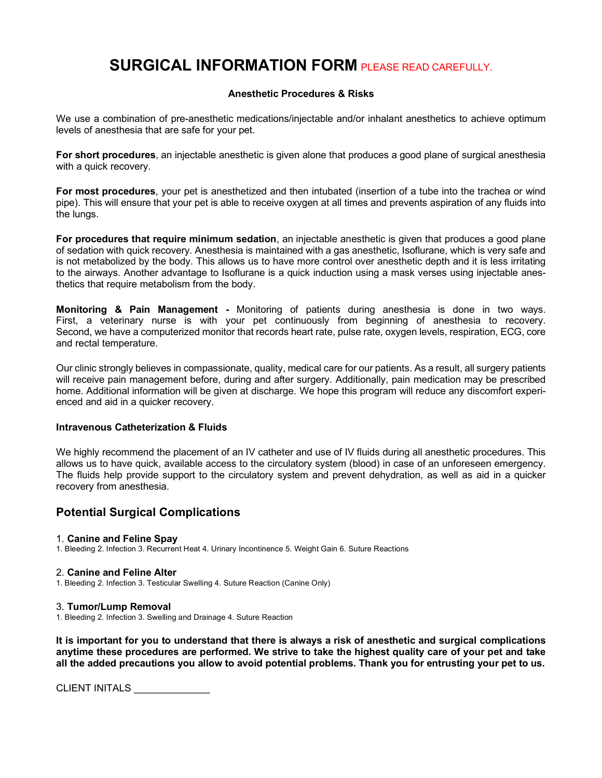## **SURGICAL INFORMATION FORM** PLEASE READ CAREFULLY.

### **Anesthetic Procedures & Risks**

We use a combination of pre-anesthetic medications/injectable and/or inhalant anesthetics to achieve optimum levels of anesthesia that are safe for your pet.

**For short procedures**, an injectable anesthetic is given alone that produces a good plane of surgical anesthesia with a quick recovery.

**For most procedures**, your pet is anesthetized and then intubated (insertion of a tube into the trachea or wind pipe). This will ensure that your pet is able to receive oxygen at all times and prevents aspiration of any fluids into the lungs.

**For procedures that require minimum sedation**, an injectable anesthetic is given that produces a good plane of sedation with quick recovery. Anesthesia is maintained with a gas anesthetic, Isoflurane, which is very safe and is not metabolized by the body. This allows us to have more control over anesthetic depth and it is less irritating to the airways. Another advantage to Isoflurane is a quick induction using a mask verses using injectable anesthetics that require metabolism from the body.

**Monitoring & Pain Management -** Monitoring of patients during anesthesia is done in two ways. First, a veterinary nurse is with your pet continuously from beginning of anesthesia to recovery. Second, we have a computerized monitor that records heart rate, pulse rate, oxygen levels, respiration, ECG, core and rectal temperature.

Our clinic strongly believes in compassionate, quality, medical care for our patients. As a result, all surgery patients will receive pain management before, during and after surgery. Additionally, pain medication may be prescribed home. Additional information will be given at discharge. We hope this program will reduce any discomfort experienced and aid in a quicker recovery.

### **Intravenous Catheterization & Fluids**

We highly recommend the placement of an IV catheter and use of IV fluids during all anesthetic procedures. This allows us to have quick, available access to the circulatory system (blood) in case of an unforeseen emergency. The fluids help provide support to the circulatory system and prevent dehydration, as well as aid in a quicker recovery from anesthesia.

### **Potential Surgical Complications**

### 1. **Canine and Feline Spay**

1. Bleeding 2. Infection 3. Recurrent Heat 4. Urinary Incontinence 5. Weight Gain 6. Suture Reactions

### 2. **Canine and Feline Alter**

1. Bleeding 2. Infection 3. Testicular Swelling 4. Suture Reaction (Canine Only)

### 3. **Tumor/Lump Removal**

1. Bleeding 2. Infection 3. Swelling and Drainage 4. Suture Reaction

**It is important for you to understand that there is always a risk of anesthetic and surgical complications anytime these procedures are performed. We strive to take the highest quality care of your pet and take all the added precautions you allow to avoid potential problems. Thank you for entrusting your pet to us.** 

CLIENT INITALS \_\_\_\_\_\_\_\_\_\_\_\_\_\_